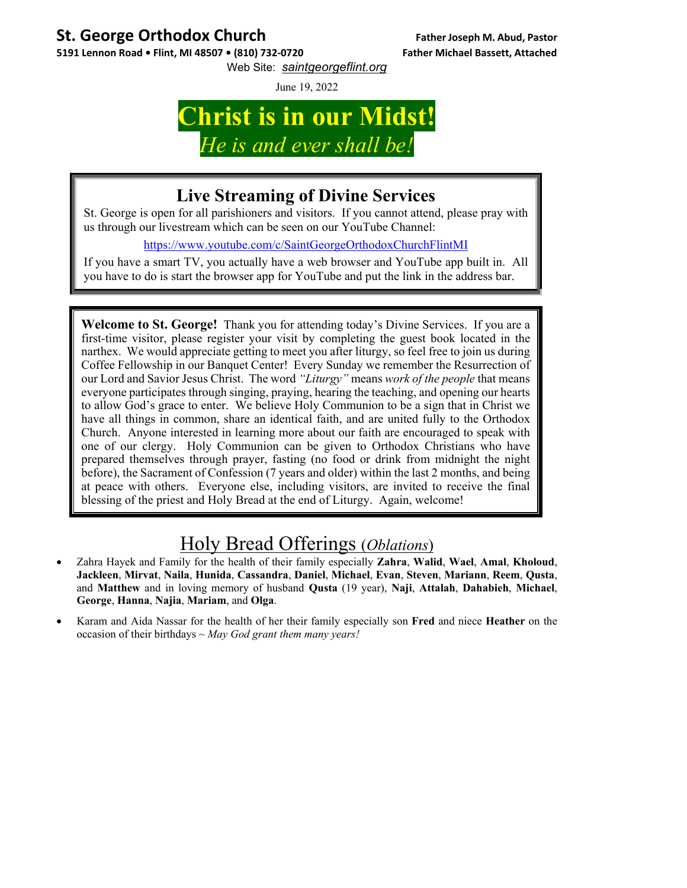## **St. George Orthodox Church Father Joseph M. Abud, Pastor**

5191 Lennon Road . Flint, MI 48507 . (810) 732-0720 Father Michael Bassett, Attached Web Site: *saintgeorgeflint.org*

June 19, 2022

## **Christ is in our Midst!**  *He is and ever shall be!*

## **Live Streaming of Divine Services**

St. George is open for all parishioners and visitors. If you cannot attend, please pray with us through our livestream which can be seen on our YouTube Channel:

https://www.youtube.com/c/SaintGeorgeOrthodoxChurchFlintMI

If you have a smart TV, you actually have a web browser and YouTube app built in. All you have to do is start the browser app for YouTube and put the link in the address bar.

**Welcome to St. George!** Thank you for attending today's Divine Services. If you are a first-time visitor, please register your visit by completing the guest book located in the narthex. We would appreciate getting to meet you after liturgy, so feel free to join us during Coffee Fellowship in our Banquet Center! Every Sunday we remember the Resurrection of our Lord and Savior Jesus Christ. The word *"Liturgy"* means *work of the people* that means everyone participates through singing, praying, hearing the teaching, and opening our hearts to allow God's grace to enter. We believe Holy Communion to be a sign that in Christ we have all things in common, share an identical faith, and are united fully to the Orthodox Church. Anyone interested in learning more about our faith are encouraged to speak with one of our clergy. Holy Communion can be given to Orthodox Christians who have prepared themselves through prayer, fasting (no food or drink from midnight the night before), the Sacrament of Confession (7 years and older) within the last 2 months, and being at peace with others. Everyone else, including visitors, are invited to receive the final blessing of the priest and Holy Bread at the end of Liturgy. Again, welcome!

## Holy Bread Offerings (*Oblations*)

- Zahra Hayek and Family for the health of their family especially **Zahra**, **Walid**, **Wael**, **Amal**, **Kholoud**, **Jackleen**, **Mirvat**, **Naila**, **Hunida**, **Cassandra**, **Daniel**, **Michael**, **Evan**, **Steven**, **Mariann**, **Reem**, **Qusta**, and **Matthew** and in loving memory of husband **Qusta** (19 year), **Naji**, **Attalah**, **Dahabieh**, **Michael**, **George**, **Hanna**, **Najia**, **Mariam**, and **Olga**.
- Karam and Aida Nassar for the health of her their family especially son **Fred** and niece **Heather** on the occasion of their birthdays ~ *May God grant them many years!*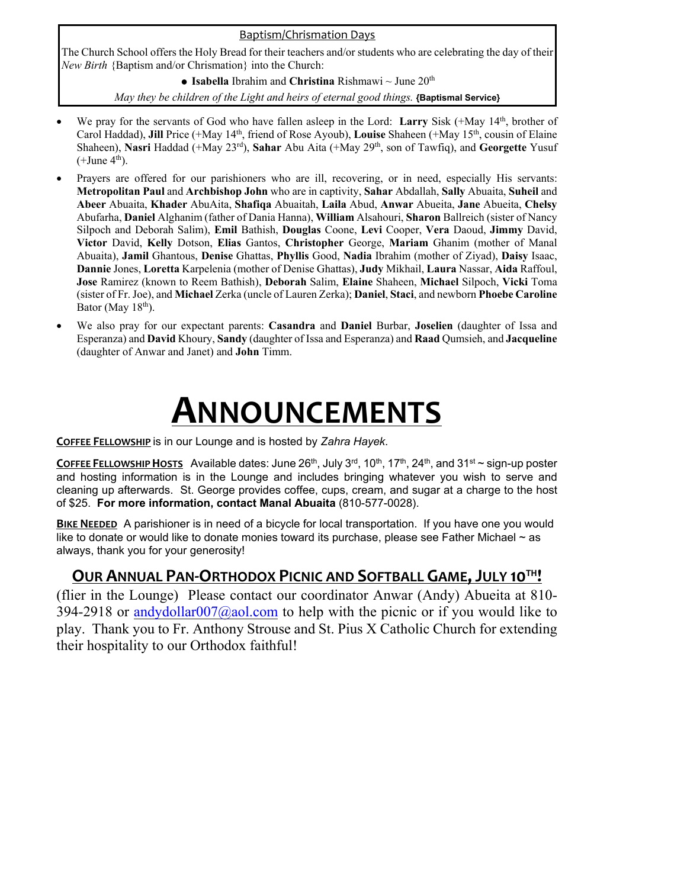#### Baptism/Chrismation Days

The Church School offers the Holy Bread for their teachers and/or students who are celebrating the day of their *New Birth* {Baptism and/or Chrismation} into the Church:

**Isabella** Ibrahim and **Christina** Rishmawi ~ June 20th

*May they be children of the Light and heirs of eternal good things.* **{Baptismal Service}** 

- We pray for the servants of God who have fallen asleep in the Lord: Larry Sisk (+May 14<sup>th</sup>, brother of Carol Haddad), **Jill** Price (+May 14th, friend of Rose Ayoub), **Louise** Shaheen (+May 15th, cousin of Elaine Shaheen), **Nasri** Haddad (+May 23rd), **Sahar** Abu Aita (+May 29th, son of Tawfiq), and **Georgette** Yusuf  $(+$ June  $4<sup>th</sup>)$ .
- Prayers are offered for our parishioners who are ill, recovering, or in need, especially His servants: **Metropolitan Paul** and **Archbishop John** who are in captivity, **Sahar** Abdallah, **Sally** Abuaita, **Suheil** and **Abeer** Abuaita, **Khader** AbuAita, **Shafiqa** Abuaitah, **Laila** Abud, **Anwar** Abueita, **Jane** Abueita, **Chelsy** Abufarha, **Daniel** Alghanim (father of Dania Hanna), **William** Alsahouri, **Sharon** Ballreich (sister of Nancy Silpoch and Deborah Salim), **Emil** Bathish, **Douglas** Coone, **Levi** Cooper, **Vera** Daoud, **Jimmy** David, **Victor** David, **Kelly** Dotson, **Elias** Gantos, **Christopher** George, **Mariam** Ghanim (mother of Manal Abuaita), **Jamil** Ghantous, **Denise** Ghattas, **Phyllis** Good, **Nadia** Ibrahim (mother of Ziyad), **Daisy** Isaac, **Dannie** Jones, **Loretta** Karpelenia (mother of Denise Ghattas), **Judy** Mikhail, **Laura** Nassar, **Aida** Raffoul, **Jose** Ramirez (known to Reem Bathish), **Deborah** Salim, **Elaine** Shaheen, **Michael** Silpoch, **Vicki** Toma (sister of Fr. Joe), and **Michael** Zerka (uncle of Lauren Zerka); **Daniel**, **Staci**, and newborn **Phoebe Caroline**  Bator (May  $18<sup>th</sup>$ ).
- We also pray for our expectant parents: **Casandra** and **Daniel** Burbar, **Joselien** (daughter of Issa and Esperanza) and **David** Khoury, **Sandy** (daughter of Issa and Esperanza) and **Raad** Qumsieh, and **Jacqueline** (daughter of Anwar and Janet) and **John** Timm.

# **ANNOUNCEMENTS**

**COFFEE FELLOWSHIP** is in our Lounge and is hosted by *Zahra Hayek*.

**COFFEE FELLOWSHIP HOSTS** Available dates: June 26<sup>th</sup>, July 3<sup>rd</sup>, 10<sup>th</sup>, 17<sup>th</sup>, 24<sup>th</sup>, and 31<sup>st</sup> ~ sign-up poster and hosting information is in the Lounge and includes bringing whatever you wish to serve and cleaning up afterwards. St. George provides coffee, cups, cream, and sugar at a charge to the host of \$25. **For more information, contact Manal Abuaita** (810-577-0028).

**BIKE NEEDED** A parishioner is in need of a bicycle for local transportation. If you have one you would like to donate or would like to donate monies toward its purchase, please see Father Michael  $\sim$  as always, thank you for your generosity!

### **OUR ANNUAL PAN‐ORTHODOX PICNIC AND SOFTBALL GAME,JULY 10TH!**

(flier in the Lounge) Please contact our coordinator Anwar (Andy) Abueita at 810- 394-2918 or andydollar007@aol.com to help with the picnic or if you would like to play. Thank you to Fr. Anthony Strouse and St. Pius X Catholic Church for extending their hospitality to our Orthodox faithful!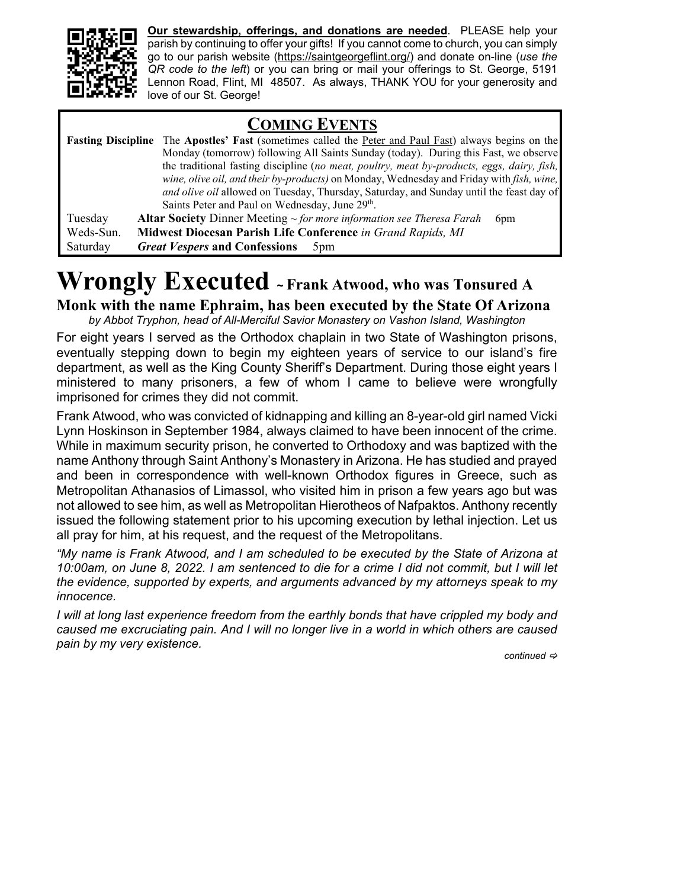

**Our stewardship, offerings, and donations are needed**. PLEASE help your parish by continuing to offer your gifts! If you cannot come to church, you can simply go to our parish website (https://saintgeorgeflint.org/) and donate on-line (*use the QR code to the left*) or you can bring or mail your offerings to St. George, 5191 Lennon Road, Flint, MI 48507. As always, THANK YOU for your generosity and love of our St. George!

### **COMING EVENTS**

|           | <b>Fasting Discipline</b> The Apostles' Fast (sometimes called the Peter and Paul Fast) always begins on the |
|-----------|--------------------------------------------------------------------------------------------------------------|
|           | Monday (tomorrow) following All Saints Sunday (today). During this Fast, we observe                          |
|           | the traditional fasting discipline (no meat, poultry, meat by-products, eggs, dairy, fish,                   |
|           | wine, olive oil, and their by-products) on Monday, Wednesday and Friday with fish, wine,                     |
|           | and olive oil allowed on Tuesday, Thursday, Saturday, and Sunday until the feast day of                      |
|           | Saints Peter and Paul on Wednesday, June 29 <sup>th</sup> .                                                  |
| Tuesday   | <b>Altar Society</b> Dinner Meeting $\sim$ for more information see Theresa Farah<br>6 <sub>pm</sub>         |
| Weds-Sun. | Midwest Diocesan Parish Life Conference in Grand Rapids, MI                                                  |
| Saturday  | <i>Great Vespers</i> and Confessions<br>5 <sub>pm</sub>                                                      |

## **Wrongly Executed <sup>~</sup> Frank Atwood, who was Tonsured A**

**Monk with the name Ephraim, has been executed by the State Of Arizona**

*by Abbot Tryphon, head of All-Merciful Savior Monastery on Vashon Island, Washington* 

For eight years I served as the Orthodox chaplain in two State of Washington prisons, eventually stepping down to begin my eighteen years of service to our island's fire department, as well as the King County Sheriff's Department. During those eight years I ministered to many prisoners, a few of whom I came to believe were wrongfully imprisoned for crimes they did not commit.

Frank Atwood, who was convicted of kidnapping and killing an 8-year-old girl named Vicki Lynn Hoskinson in September 1984, always claimed to have been innocent of the crime. While in maximum security prison, he converted to Orthodoxy and was baptized with the name Anthony through Saint Anthony's Monastery in Arizona. He has studied and prayed and been in correspondence with well-known Orthodox figures in Greece, such as Metropolitan Athanasios of Limassol, who visited him in prison a few years ago but was not allowed to see him, as well as Metropolitan Hierotheos of Nafpaktos. Anthony recently issued the following statement prior to his upcoming execution by lethal injection. Let us all pray for him, at his request, and the request of the Metropolitans.

*"My name is Frank Atwood, and I am scheduled to be executed by the State of Arizona at 10:00am, on June 8, 2022. I am sentenced to die for a crime I did not commit, but I will let the evidence, supported by experts, and arguments advanced by my attorneys speak to my innocence.* 

*I* will at long last experience freedom from the earthly bonds that have crippled my body and *caused me excruciating pain. And I will no longer live in a world in which others are caused pain by my very existence.* 

*continued*